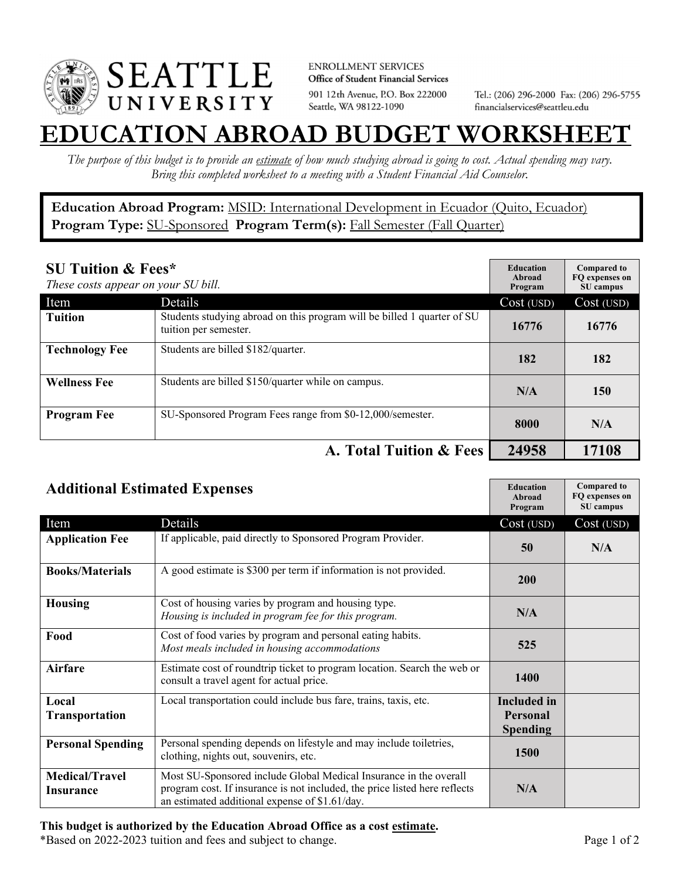

**ENROLLMENT SERVICES** Office of Student Financial Services 901 12th Avenue, P.O. Box 222000 Seattle, WA 98122-1090

Tel.: (206) 296-2000 Fax: (206) 296-5755 financialservices@seattleu.edu

## **EATION ABROAD BUDGET WORKSHEE**

*The purpose of this budget is to provide an estimate of how much studying abroad is going to cost. Actual spending may vary. Bring this completed worksheet to a meeting with a Student Financial Aid Counselor.* 

**Education Abroad Program:** MSID: International Development in Ecuador (Quito, Ecuador) Program Type: **SU-Sponsored** Program Term(s): **Fall Semester (Fall Quarter)** 

| <b>SU Tuition &amp; Fees*</b><br>These costs appear on your SU bill. |                                                                                                  | <b>Education</b><br>Abroad<br>Program | <b>Compared to</b><br>FQ expenses on<br>SU campus |
|----------------------------------------------------------------------|--------------------------------------------------------------------------------------------------|---------------------------------------|---------------------------------------------------|
| Item                                                                 | Details                                                                                          | Cost (USD)                            | Cost (USD)                                        |
| <b>Tuition</b>                                                       | Students studying abroad on this program will be billed 1 quarter of SU<br>tuition per semester. | 16776                                 | 16776                                             |
| <b>Technology Fee</b>                                                | Students are billed \$182/quarter.                                                               | 182                                   | 182                                               |
| <b>Wellness Fee</b>                                                  | Students are billed \$150/quarter while on campus.                                               | N/A                                   | 150                                               |
| <b>Program Fee</b>                                                   | SU-Sponsored Program Fees range from \$0-12,000/semester.                                        | 8000                                  | N/A                                               |
|                                                                      | A. Total Tuition & Fees                                                                          | 24958                                 | 17108                                             |

| <b>Additional Estimated Expenses</b> |                                                                                                                                                                                                   | <b>Education</b><br>Abroad<br>Program | <b>Compared to</b><br>FQ expenses on<br>SU campus |
|--------------------------------------|---------------------------------------------------------------------------------------------------------------------------------------------------------------------------------------------------|---------------------------------------|---------------------------------------------------|
| Item                                 | Details                                                                                                                                                                                           | Cost (USD)                            | Cost (USD)                                        |
| <b>Application Fee</b>               | If applicable, paid directly to Sponsored Program Provider.                                                                                                                                       | 50                                    | N/A                                               |
| <b>Books/Materials</b>               | A good estimate is \$300 per term if information is not provided.                                                                                                                                 | <b>200</b>                            |                                                   |
| <b>Housing</b>                       | Cost of housing varies by program and housing type.<br>Housing is included in program fee for this program.                                                                                       | N/A                                   |                                                   |
| Food                                 | Cost of food varies by program and personal eating habits.<br>Most meals included in housing accommodations                                                                                       | 525                                   |                                                   |
| <b>Airfare</b>                       | Estimate cost of roundtrip ticket to program location. Search the web or<br>consult a travel agent for actual price.                                                                              | <b>1400</b>                           |                                                   |
| Local                                | Local transportation could include bus fare, trains, taxis, etc.                                                                                                                                  | <b>Included</b> in                    |                                                   |
| <b>Transportation</b>                |                                                                                                                                                                                                   | <b>Personal</b>                       |                                                   |
|                                      |                                                                                                                                                                                                   | <b>Spending</b>                       |                                                   |
| <b>Personal Spending</b>             | Personal spending depends on lifestyle and may include toiletries,<br>clothing, nights out, souvenirs, etc.                                                                                       | 1500                                  |                                                   |
| <b>Medical/Travel</b><br>Insurance   | Most SU-Sponsored include Global Medical Insurance in the overall<br>program cost. If insurance is not included, the price listed here reflects<br>an estimated additional expense of \$1.61/day. | N/A                                   |                                                   |

## **This budget is authorized by the Education Abroad Office as a cost estimate.**

\*Based on 2022-2023 tuition and fees and subject to change. Page 1 of 2